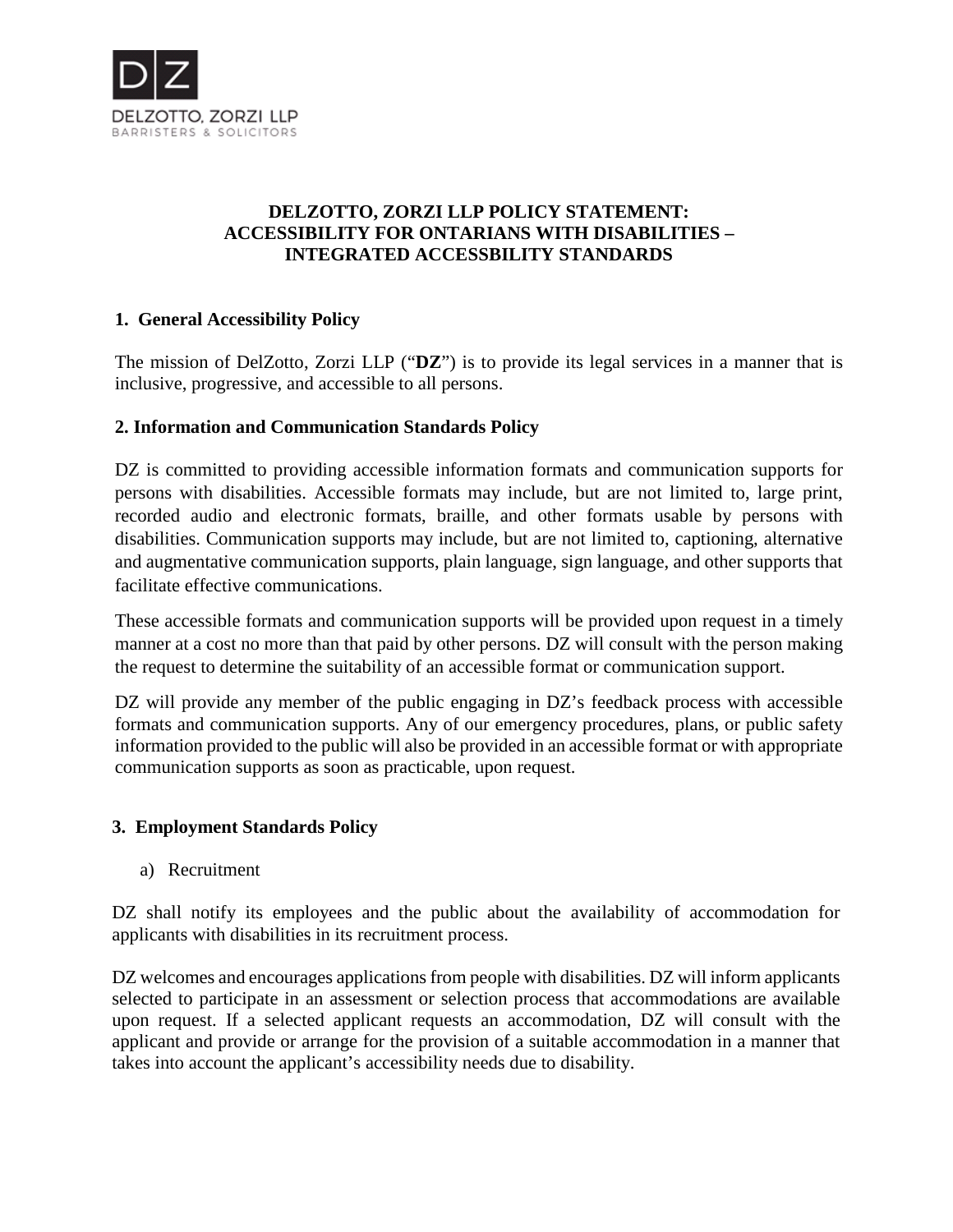

# **DELZOTTO, ZORZI LLP POLICY STATEMENT: ACCESSIBILITY FOR ONTARIANS WITH DISABILITIES – INTEGRATED ACCESSBILITY STANDARDS**

# **1. General Accessibility Policy**

The mission of DelZotto, Zorzi LLP ("**DZ**") is to provide its legal services in a manner that is inclusive, progressive, and accessible to all persons.

# **2. Information and Communication Standards Policy**

DZ is committed to providing accessible information formats and communication supports for persons with disabilities. Accessible formats may include, but are not limited to, large print, recorded audio and electronic formats, braille, and other formats usable by persons with disabilities. Communication supports may include, but are not limited to, captioning, alternative and augmentative communication supports, plain language, sign language, and other supports that facilitate effective communications.

These accessible formats and communication supports will be provided upon request in a timely manner at a cost no more than that paid by other persons. DZ will consult with the person making the request to determine the suitability of an accessible format or communication support.

DZ will provide any member of the public engaging in DZ's feedback process with accessible formats and communication supports. Any of our emergency procedures, plans, or public safety information provided to the public will also be provided in an accessible format or with appropriate communication supports as soon as practicable, upon request.

# **3. Employment Standards Policy**

a) Recruitment

DZ shall notify its employees and the public about the availability of accommodation for applicants with disabilities in its recruitment process.

DZ welcomes and encourages applications from people with disabilities. DZ will inform applicants selected to participate in an assessment or selection process that accommodations are available upon request. If a selected applicant requests an accommodation, DZ will consult with the applicant and provide or arrange for the provision of a suitable accommodation in a manner that takes into account the applicant's accessibility needs due to disability.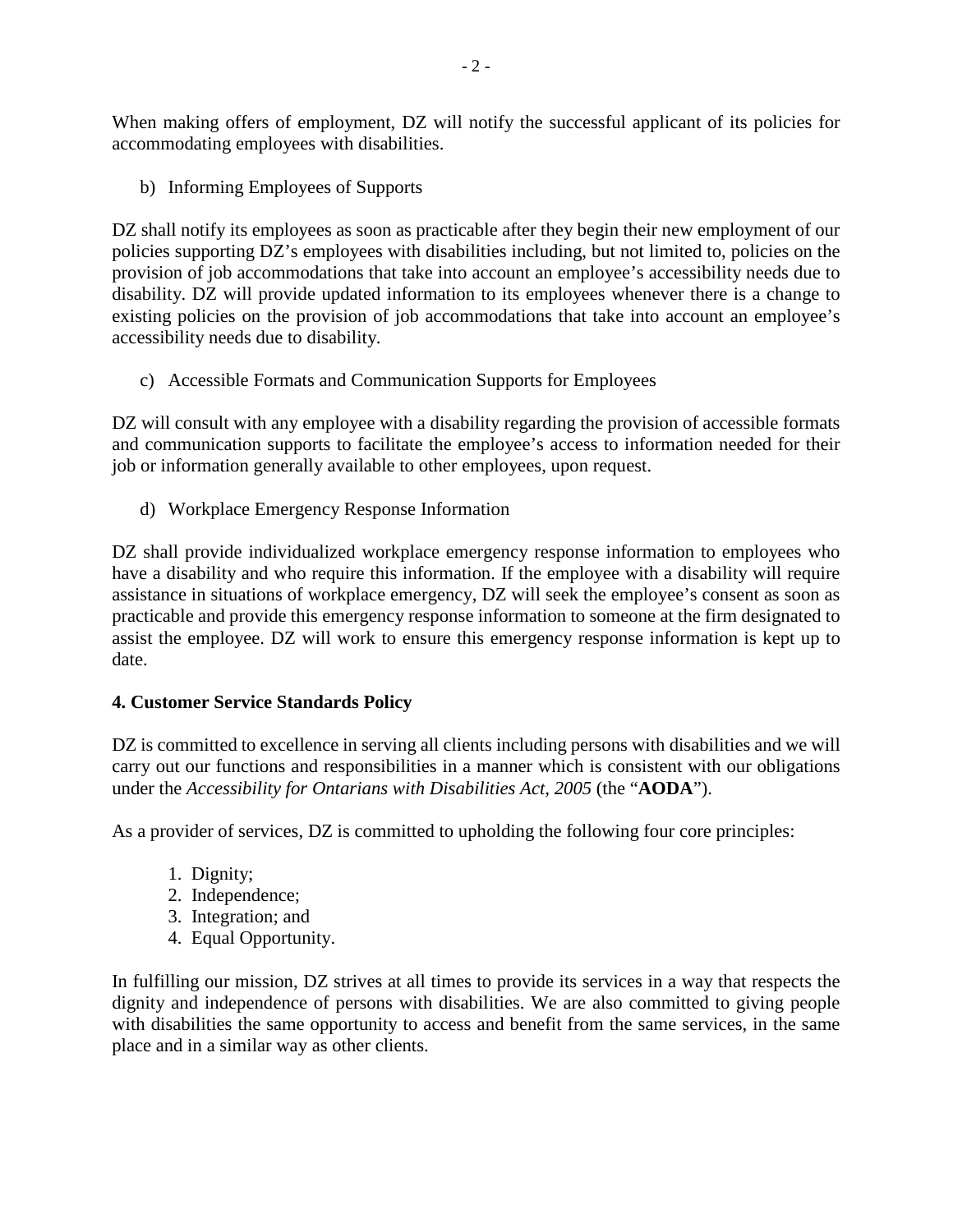When making offers of employment, DZ will notify the successful applicant of its policies for accommodating employees with disabilities.

b) Informing Employees of Supports

DZ shall notify its employees as soon as practicable after they begin their new employment of our policies supporting DZ's employees with disabilities including, but not limited to, policies on the provision of job accommodations that take into account an employee's accessibility needs due to disability. DZ will provide updated information to its employees whenever there is a change to existing policies on the provision of job accommodations that take into account an employee's accessibility needs due to disability.

c) Accessible Formats and Communication Supports for Employees

DZ will consult with any employee with a disability regarding the provision of accessible formats and communication supports to facilitate the employee's access to information needed for their job or information generally available to other employees, upon request.

d) Workplace Emergency Response Information

DZ shall provide individualized workplace emergency response information to employees who have a disability and who require this information. If the employee with a disability will require assistance in situations of workplace emergency, DZ will seek the employee's consent as soon as practicable and provide this emergency response information to someone at the firm designated to assist the employee. DZ will work to ensure this emergency response information is kept up to date.

# **4. Customer Service Standards Policy**

DZ is committed to excellence in serving all clients including persons with disabilities and we will carry out our functions and responsibilities in a manner which is consistent with our obligations under the *Accessibility for Ontarians with Disabilities Act, 2005* (the "**AODA**").

As a provider of services, DZ is committed to upholding the following four core principles:

- 1. Dignity;
- 2. Independence;
- 3. Integration; and
- 4. Equal Opportunity.

In fulfilling our mission, DZ strives at all times to provide its services in a way that respects the dignity and independence of persons with disabilities. We are also committed to giving people with disabilities the same opportunity to access and benefit from the same services, in the same place and in a similar way as other clients.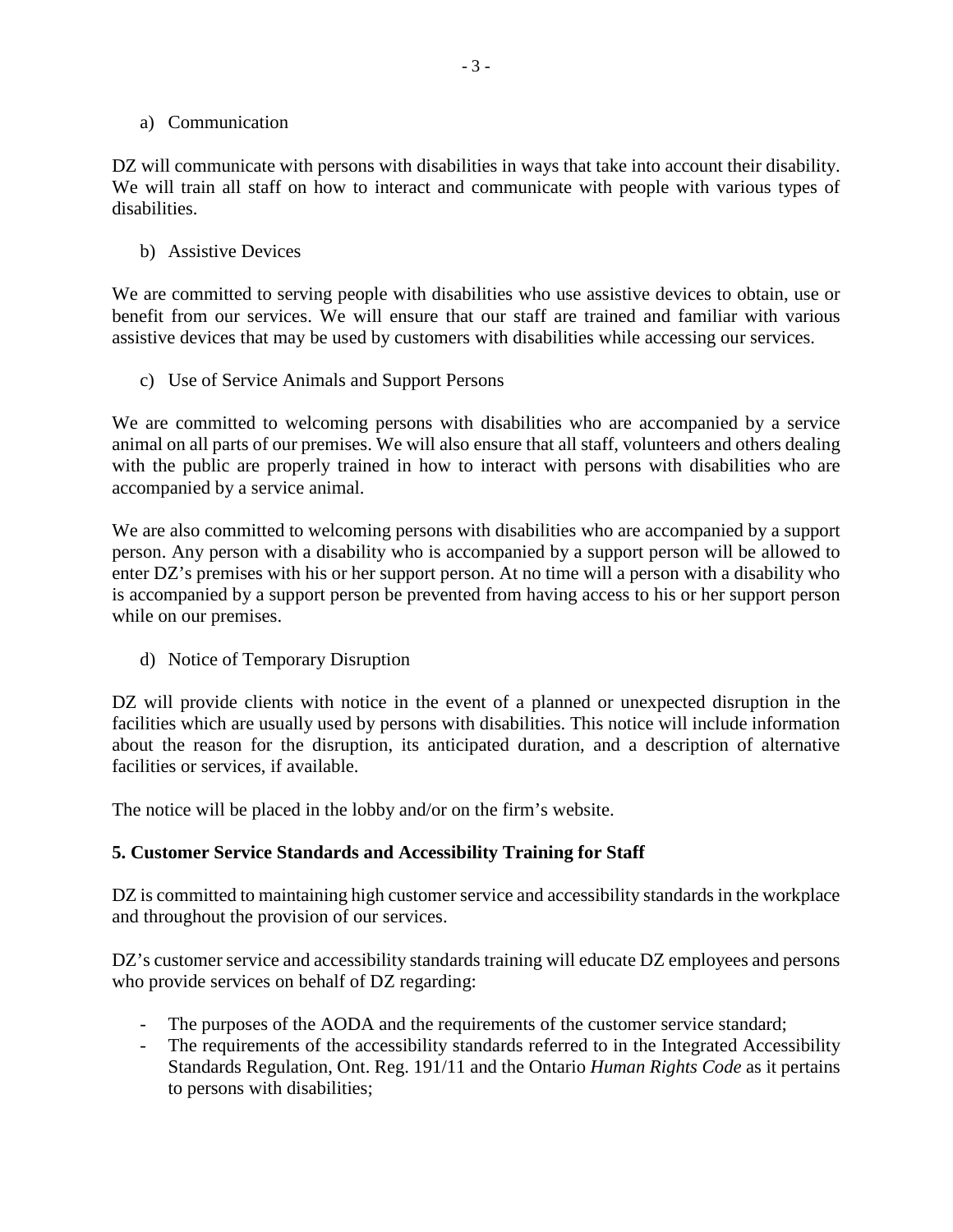#### a) Communication

DZ will communicate with persons with disabilities in ways that take into account their disability. We will train all staff on how to interact and communicate with people with various types of disabilities.

#### b) Assistive Devices

We are committed to serving people with disabilities who use assistive devices to obtain, use or benefit from our services. We will ensure that our staff are trained and familiar with various assistive devices that may be used by customers with disabilities while accessing our services.

c) Use of Service Animals and Support Persons

We are committed to welcoming persons with disabilities who are accompanied by a service animal on all parts of our premises. We will also ensure that all staff, volunteers and others dealing with the public are properly trained in how to interact with persons with disabilities who are accompanied by a service animal.

We are also committed to welcoming persons with disabilities who are accompanied by a support person. Any person with a disability who is accompanied by a support person will be allowed to enter DZ's premises with his or her support person. At no time will a person with a disability who is accompanied by a support person be prevented from having access to his or her support person while on our premises.

d) Notice of Temporary Disruption

DZ will provide clients with notice in the event of a planned or unexpected disruption in the facilities which are usually used by persons with disabilities. This notice will include information about the reason for the disruption, its anticipated duration, and a description of alternative facilities or services, if available.

The notice will be placed in the lobby and/or on the firm's website.

# **5. Customer Service Standards and Accessibility Training for Staff**

DZ is committed to maintaining high customer service and accessibility standards in the workplace and throughout the provision of our services.

DZ's customer service and accessibility standards training will educate DZ employees and persons who provide services on behalf of DZ regarding:

- The purposes of the AODA and the requirements of the customer service standard;
- The requirements of the accessibility standards referred to in the Integrated Accessibility Standards Regulation, Ont. Reg. 191/11 and the Ontario *Human Rights Code* as it pertains to persons with disabilities;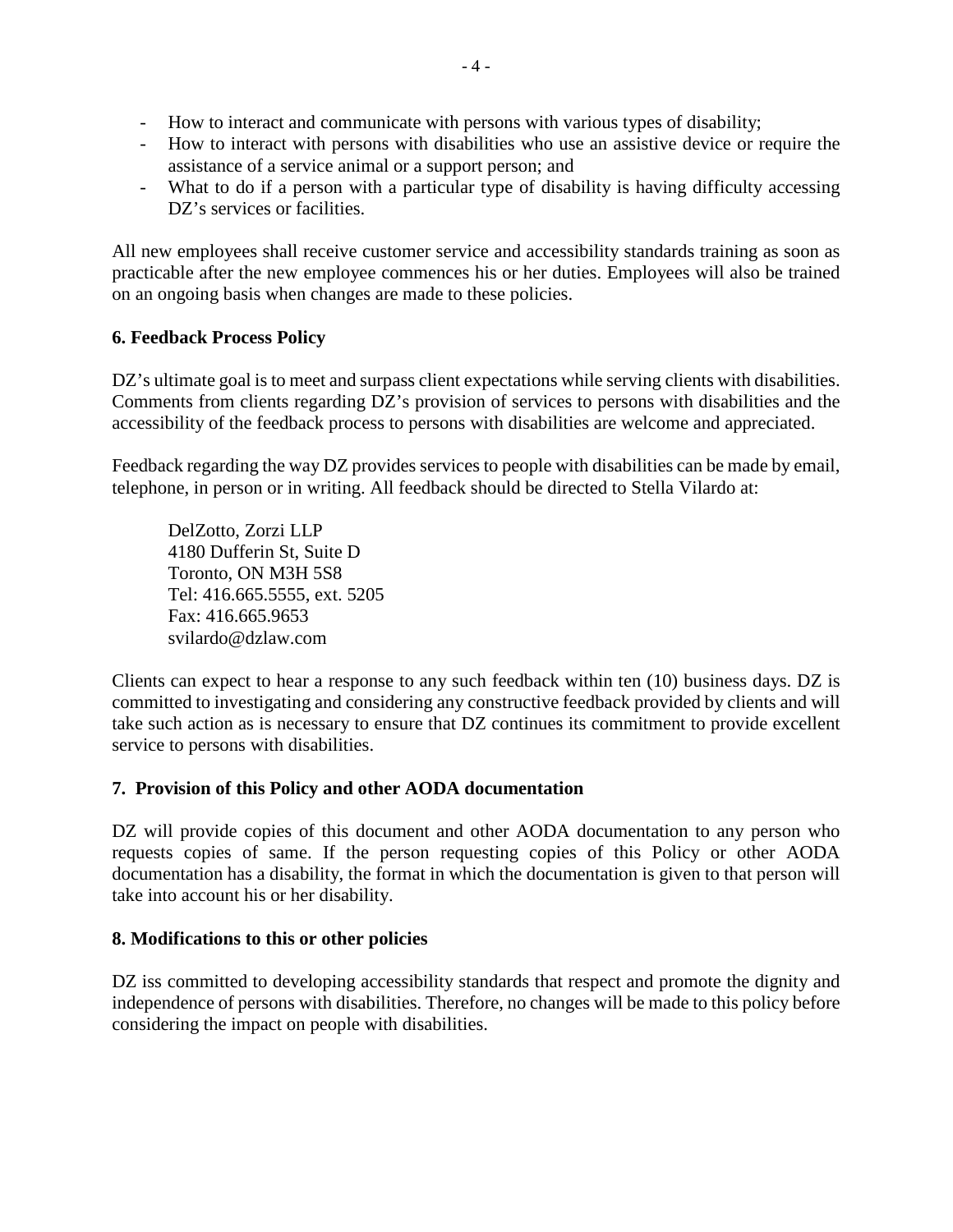- How to interact and communicate with persons with various types of disability;
- How to interact with persons with disabilities who use an assistive device or require the assistance of a service animal or a support person; and
- What to do if a person with a particular type of disability is having difficulty accessing DZ's services or facilities.

All new employees shall receive customer service and accessibility standards training as soon as practicable after the new employee commences his or her duties. Employees will also be trained on an ongoing basis when changes are made to these policies.

# **6. Feedback Process Policy**

DZ's ultimate goal is to meet and surpass client expectations while serving clients with disabilities. Comments from clients regarding DZ's provision of services to persons with disabilities and the accessibility of the feedback process to persons with disabilities are welcome and appreciated.

Feedback regarding the way DZ provides services to people with disabilities can be made by email, telephone, in person or in writing. All feedback should be directed to Stella Vilardo at:

DelZotto, Zorzi LLP 4180 Dufferin St, Suite D Toronto, ON M3H 5S8 Tel: 416.665.5555, ext. 5205 Fax: 416.665.9653 svilardo@dzlaw.com

Clients can expect to hear a response to any such feedback within ten (10) business days. DZ is committed to investigating and considering any constructive feedback provided by clients and will take such action as is necessary to ensure that DZ continues its commitment to provide excellent service to persons with disabilities.

# **7. Provision of this Policy and other AODA documentation**

DZ will provide copies of this document and other AODA documentation to any person who requests copies of same. If the person requesting copies of this Policy or other AODA documentation has a disability, the format in which the documentation is given to that person will take into account his or her disability.

#### **8. Modifications to this or other policies**

DZ iss committed to developing accessibility standards that respect and promote the dignity and independence of persons with disabilities. Therefore, no changes will be made to this policy before considering the impact on people with disabilities.